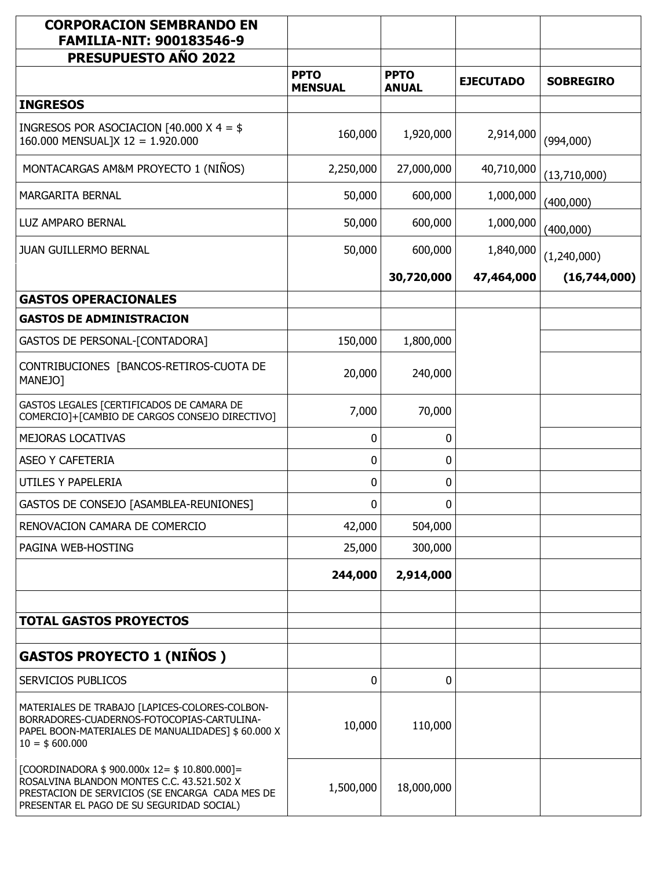| <b>CORPORACION SEMBRANDO EN</b><br><b>FAMILIA-NIT: 900183546-9</b>                                                                                                                           |                               |                             |                  |                  |
|----------------------------------------------------------------------------------------------------------------------------------------------------------------------------------------------|-------------------------------|-----------------------------|------------------|------------------|
| <b>PRESUPUESTO AÑO 2022</b>                                                                                                                                                                  |                               |                             |                  |                  |
|                                                                                                                                                                                              | <b>PPTO</b><br><b>MENSUAL</b> | <b>PPTO</b><br><b>ANUAL</b> | <b>EJECUTADO</b> | <b>SOBREGIRO</b> |
| <b>INGRESOS</b>                                                                                                                                                                              |                               |                             |                  |                  |
| INGRESOS POR ASOCIACION [40.000 X 4 = $$$<br>160.000 MENSUAL]X 12 = 1.920.000                                                                                                                | 160,000                       | 1,920,000                   | 2,914,000        | (994,000)        |
| MONTACARGAS AM&M PROYECTO 1 (NIÑOS)                                                                                                                                                          | 2,250,000                     | 27,000,000                  | 40,710,000       | (13,710,000)     |
| MARGARITA BERNAL                                                                                                                                                                             | 50,000                        | 600,000                     | 1,000,000        | (400,000)        |
| LUZ AMPARO BERNAL                                                                                                                                                                            | 50,000                        | 600,000                     | 1,000,000        | (400,000)        |
| <b>JUAN GUILLERMO BERNAL</b>                                                                                                                                                                 | 50,000                        | 600,000                     | 1,840,000        | (1,240,000)      |
|                                                                                                                                                                                              |                               | 30,720,000                  | 47,464,000       | (16,744,000)     |
| <b>GASTOS OPERACIONALES</b>                                                                                                                                                                  |                               |                             |                  |                  |
| <b>GASTOS DE ADMINISTRACION</b>                                                                                                                                                              |                               |                             |                  |                  |
| <b>GASTOS DE PERSONAL-[CONTADORA]</b>                                                                                                                                                        | 150,000                       | 1,800,000                   |                  |                  |
| CONTRIBUCIONES [BANCOS-RETIROS-CUOTA DE<br>MANEJO]                                                                                                                                           | 20,000                        | 240,000                     |                  |                  |
| GASTOS LEGALES [CERTIFICADOS DE CAMARA DE<br>COMERCIO]+[CAMBIO DE CARGOS CONSEJO DIRECTIVO]                                                                                                  | 7,000                         | 70,000                      |                  |                  |
| MEJORAS LOCATIVAS                                                                                                                                                                            | 0                             | 0                           |                  |                  |
| <b>ASEO Y CAFETERIA</b>                                                                                                                                                                      | 0                             | 0                           |                  |                  |
| <b>UTILES Y PAPELERIA</b>                                                                                                                                                                    | 0                             | 0                           |                  |                  |
| GASTOS DE CONSEJO [ASAMBLEA-REUNIONES]                                                                                                                                                       | 0                             | 0                           |                  |                  |
| RENOVACION CAMARA DE COMERCIO                                                                                                                                                                | 42,000                        | 504,000                     |                  |                  |
| PAGINA WEB-HOSTING                                                                                                                                                                           | 25,000                        | 300,000                     |                  |                  |
|                                                                                                                                                                                              | 244,000                       | 2,914,000                   |                  |                  |
| <b>TOTAL GASTOS PROYECTOS</b>                                                                                                                                                                |                               |                             |                  |                  |
|                                                                                                                                                                                              |                               |                             |                  |                  |
| <b>GASTOS PROYECTO 1 (NIÑOS)</b>                                                                                                                                                             |                               |                             |                  |                  |
| <b>SERVICIOS PUBLICOS</b>                                                                                                                                                                    | 0                             | 0                           |                  |                  |
| MATERIALES DE TRABAJO [LAPICES-COLORES-COLBON-<br>BORRADORES-CUADERNOS-FOTOCOPIAS-CARTULINA-<br>PAPEL BOON-MATERIALES DE MANUALIDADES] \$ 60.000 X<br>$10 = $600.000$                        | 10,000                        | 110,000                     |                  |                  |
| [COORDINADORA $$900.000x 12 = $10.800.000$ ] =<br>ROSALVINA BLANDON MONTES C.C. 43.521.502 X<br>PRESTACION DE SERVICIOS (SE ENCARGA CADA MES DE<br>PRESENTAR EL PAGO DE SU SEGURIDAD SOCIAL) | 1,500,000                     | 18,000,000                  |                  |                  |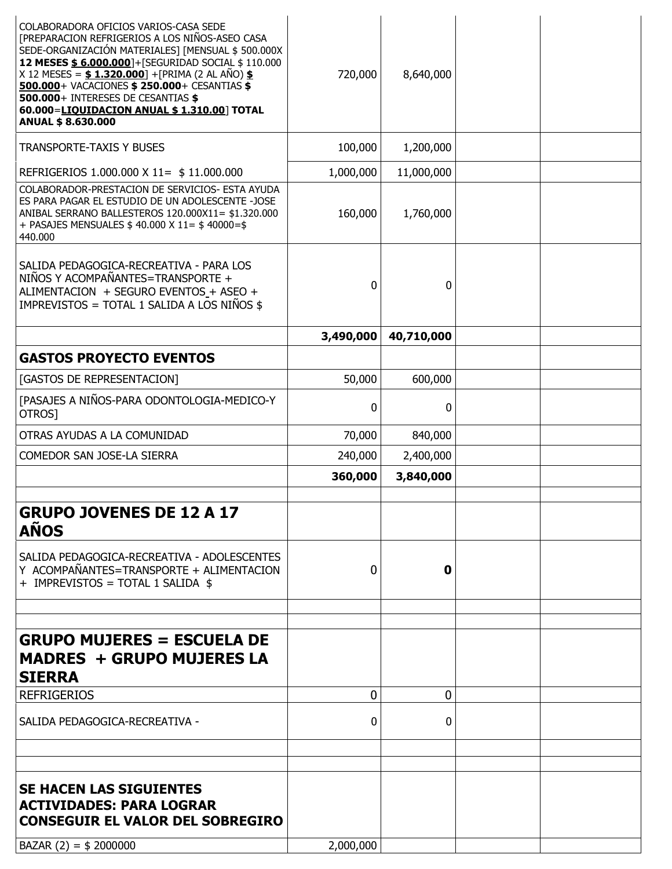| COLABORADORA OFICIOS VARIOS-CASA SEDE<br>[PREPARACION REFRIGERIOS A LOS NIÑOS-ASEO CASA                                                                                                                                                                                                                                          |           |            |  |
|----------------------------------------------------------------------------------------------------------------------------------------------------------------------------------------------------------------------------------------------------------------------------------------------------------------------------------|-----------|------------|--|
| SEDE-ORGANIZACIÓN MATERIALES] [MENSUAL \$ 500.000X<br>12 MESES \$ 6.000.000]+[SEGURIDAD SOCIAL \$ 110.000<br>X 12 MESES = $$ 1.320.000$ ] +[PRIMA (2 AL AÑO) $$$<br>500.000+ VACACIONES \$ 250.000+ CESANTIAS \$<br>500.000+ INTERESES DE CESANTIAS \$<br>60.000=LIQUIDACION ANUAL \$1.310.00] TOTAL<br><b>ANUAL \$8.630.000</b> | 720,000   | 8,640,000  |  |
| <b>TRANSPORTE-TAXIS Y BUSES</b>                                                                                                                                                                                                                                                                                                  | 100,000   | 1,200,000  |  |
| REFRIGERIOS 1.000.000 X 11= \$ 11.000.000                                                                                                                                                                                                                                                                                        | 1,000,000 | 11,000,000 |  |
| COLABORADOR-PRESTACION DE SERVICIOS- ESTA AYUDA<br>ES PARA PAGAR EL ESTUDIO DE UN ADOLESCENTE -JOSE<br>ANIBAL SERRANO BALLESTEROS 120.000X11= \$1.320.000<br>+ PASAJES MENSUALES \$40.000 X 11= \$40000=\$<br>440.000                                                                                                            | 160,000   | 1,760,000  |  |
| SALIDA PEDAGOGICA-RECREATIVA - PARA LOS<br>NIÑOS Y ACOMPAÑANTES=TRANSPORTE +<br>ALIMENTACION + SEGURO EVENTOS_+ ASEO +<br>IMPREVISTOS = TOTAL 1 SALIDA A LOS NIÑOS \$                                                                                                                                                            | 0         | 0          |  |
|                                                                                                                                                                                                                                                                                                                                  | 3,490,000 | 40,710,000 |  |
| <b>GASTOS PROYECTO EVENTOS</b>                                                                                                                                                                                                                                                                                                   |           |            |  |
| [GASTOS DE REPRESENTACION]                                                                                                                                                                                                                                                                                                       | 50,000    | 600,000    |  |
| [PASAJES A NIÑOS-PARA ODONTOLOGIA-MEDICO-Y<br>OTROS]                                                                                                                                                                                                                                                                             | 0         | 0          |  |
| OTRAS AYUDAS A LA COMUNIDAD                                                                                                                                                                                                                                                                                                      | 70,000    | 840,000    |  |
| COMEDOR SAN JOSE-LA SIERRA                                                                                                                                                                                                                                                                                                       | 240,000   | 2,400,000  |  |
|                                                                                                                                                                                                                                                                                                                                  | 360,000   | 3,840,000  |  |
|                                                                                                                                                                                                                                                                                                                                  |           |            |  |
| <b>GRUPO JOVENES DE 12 A 17</b><br><b>AÑOS</b>                                                                                                                                                                                                                                                                                   |           |            |  |
| SALIDA PEDAGOGICA-RECREATIVA - ADOLESCENTES<br>Y ACOMPAÑANTES=TRANSPORTE + ALIMENTACION<br>+ IMPREVISTOS = TOTAL 1 SALIDA \$                                                                                                                                                                                                     | 0         | 0          |  |
|                                                                                                                                                                                                                                                                                                                                  |           |            |  |
| <b>GRUPO MUJERES = ESCUELA DE</b>                                                                                                                                                                                                                                                                                                |           |            |  |
| <b>MADRES + GRUPO MUJERES LA</b><br><b>SIERRA</b>                                                                                                                                                                                                                                                                                |           |            |  |
| <b>REFRIGERIOS</b>                                                                                                                                                                                                                                                                                                               | 0         | 0          |  |
| SALIDA PEDAGOGICA-RECREATIVA -                                                                                                                                                                                                                                                                                                   | 0         | 0          |  |
|                                                                                                                                                                                                                                                                                                                                  |           |            |  |
|                                                                                                                                                                                                                                                                                                                                  |           |            |  |
| <b>SE HACEN LAS SIGUIENTES</b><br><b>ACTIVIDADES: PARA LOGRAR</b><br><b>CONSEGUIR EL VALOR DEL SOBREGIRO</b>                                                                                                                                                                                                                     |           |            |  |
| BAZAR $(2) = $2000000$                                                                                                                                                                                                                                                                                                           | 2,000,000 |            |  |